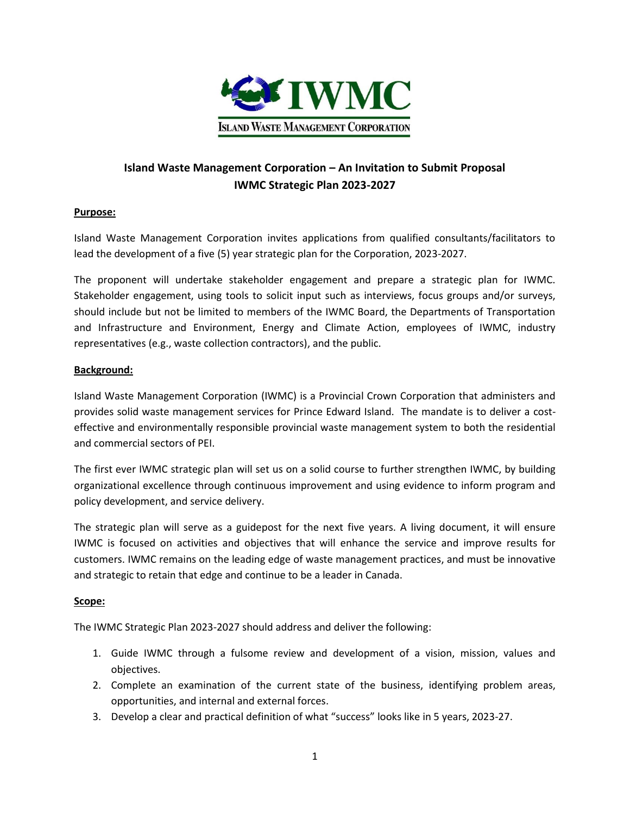

# **Island Waste Management Corporation – An Invitation to Submit Proposal IWMC Strategic Plan 2023-2027**

## **Purpose:**

Island Waste Management Corporation invites applications from qualified consultants/facilitators to lead the development of a five (5) year strategic plan for the Corporation, 2023-2027.

The proponent will undertake stakeholder engagement and prepare a strategic plan for IWMC. Stakeholder engagement, using tools to solicit input such as interviews, focus groups and/or surveys, should include but not be limited to members of the IWMC Board, the Departments of Transportation and Infrastructure and Environment, Energy and Climate Action, employees of IWMC, industry representatives (e.g., waste collection contractors), and the public.

### **Background:**

Island Waste Management Corporation (IWMC) is a Provincial Crown Corporation that administers and provides solid waste management services for Prince Edward Island. The mandate is to deliver a costeffective and environmentally responsible provincial waste management system to both the residential and commercial sectors of PEI.

The first ever IWMC strategic plan will set us on a solid course to further strengthen IWMC, by building organizational excellence through continuous improvement and using evidence to inform program and policy development, and service delivery.

The strategic plan will serve as a guidepost for the next five years. A living document, it will ensure IWMC is focused on activities and objectives that will enhance the service and improve results for customers. IWMC remains on the leading edge of waste management practices, and must be innovative and strategic to retain that edge and continue to be a leader in Canada.

### **Scope:**

The IWMC Strategic Plan 2023-2027 should address and deliver the following:

- 1. Guide IWMC through a fulsome review and development of a vision, mission, values and objectives.
- 2. Complete an examination of the current state of the business, identifying problem areas, opportunities, and internal and external forces.
- 3. Develop a clear and practical definition of what "success" looks like in 5 years, 2023-27.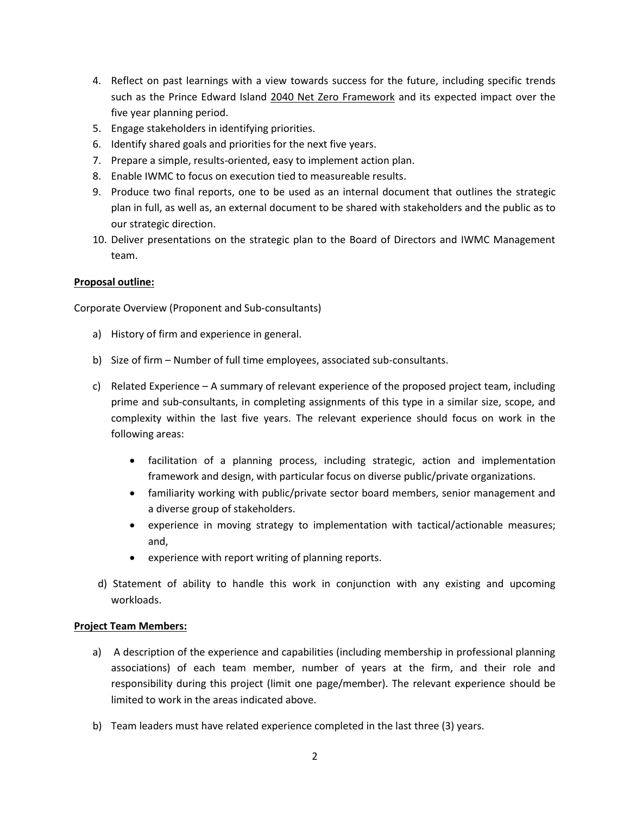- 4. Reflect on past learnings with a view towards success for the future, including specific trends such as the Prince Edward Island 2040 Net Zero Framework and its expected impact over the five year planning period.
- 5. Engage stakeholders in identifying priorities.
- 6. Identify shared goals and priorities for the next five years.
- 7. Prepare a simple, results-oriented, easy to implement action plan.
- 8. Enable IWMC to focus on execution tied to measureable results.
- 9. Produce two final reports, one to be used as an internal document that outlines the strategic plan in full, as well as, an external document to be shared with stakeholders and the public as to our strategic direction.
- 10. Deliver presentations on the strategic plan to the Board of Directors and IWMC Management team.

## **Proposal outline:**

Corporate Overview (Proponent and Sub-consultants)

- a) History of firm and experience in general.
- b) Size of firm Number of full time employees, associated sub-consultants.
- c) Related Experience A summary of relevant experience of the proposed project team, including prime and sub-consultants, in completing assignments of this type in a similar size, scope, and complexity within the last five years. The relevant experience should focus on work in the following areas:
	- facilitation of a planning process, including strategic, action and implementation framework and design, with particular focus on diverse public/private organizations.
	- familiarity working with public/private sector board members, senior management and a diverse group of stakeholders.
	- experience in moving strategy to implementation with tactical/actionable measures; and,
	- experience with report writing of planning reports.
- d) Statement of ability to handle this work in conjunction with any existing and upcoming workloads.

### **Project Team Members:**

- a) A description of the experience and capabilities (including membership in professional planning associations) of each team member, number of years at the firm, and their role and responsibility during this project (limit one page/member). The relevant experience should be limited to work in the areas indicated above.
- b) Team leaders must have related experience completed in the last three (3) years.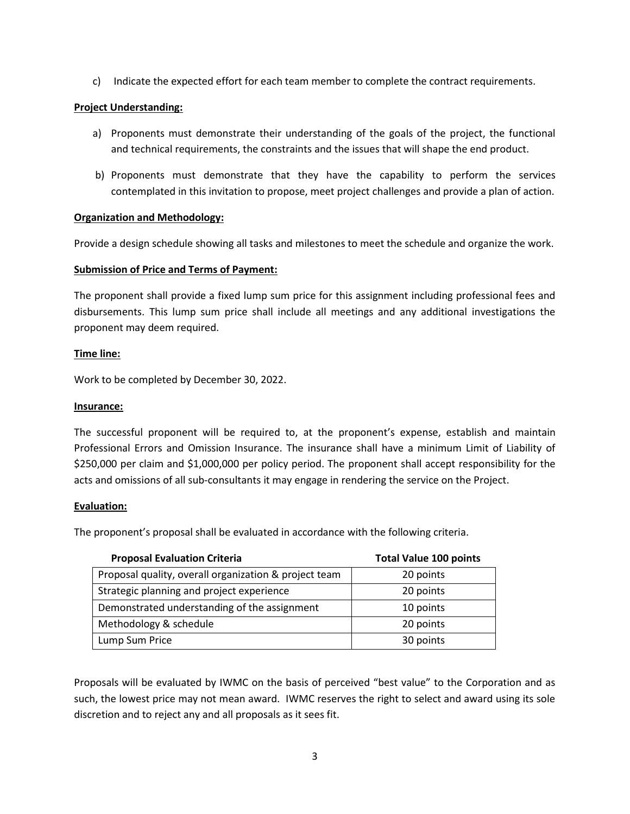c) Indicate the expected effort for each team member to complete the contract requirements.

## **Project Understanding:**

- a) Proponents must demonstrate their understanding of the goals of the project, the functional and technical requirements, the constraints and the issues that will shape the end product.
- b) Proponents must demonstrate that they have the capability to perform the services contemplated in this invitation to propose, meet project challenges and provide a plan of action.

### **Organization and Methodology:**

Provide a design schedule showing all tasks and milestones to meet the schedule and organize the work.

### **Submission of Price and Terms of Payment:**

The proponent shall provide a fixed lump sum price for this assignment including professional fees and disbursements. This lump sum price shall include all meetings and any additional investigations the proponent may deem required.

### **Time line:**

Work to be completed by December 30, 2022.

#### **Insurance:**

The successful proponent will be required to, at the proponent's expense, establish and maintain Professional Errors and Omission Insurance. The insurance shall have a minimum Limit of Liability of \$250,000 per claim and \$1,000,000 per policy period. The proponent shall accept responsibility for the acts and omissions of all sub-consultants it may engage in rendering the service on the Project.

### **Evaluation:**

The proponent's proposal shall be evaluated in accordance with the following criteria.

| <b>Proposal Evaluation Criteria</b>                   | <b>Total Value 100 points</b> |
|-------------------------------------------------------|-------------------------------|
| Proposal quality, overall organization & project team | 20 points                     |
| Strategic planning and project experience             | 20 points                     |
| Demonstrated understanding of the assignment          | 10 points                     |
| Methodology & schedule                                | 20 points                     |
| Lump Sum Price                                        | 30 points                     |

Proposals will be evaluated by IWMC on the basis of perceived "best value" to the Corporation and as such, the lowest price may not mean award. IWMC reserves the right to select and award using its sole discretion and to reject any and all proposals as it sees fit.